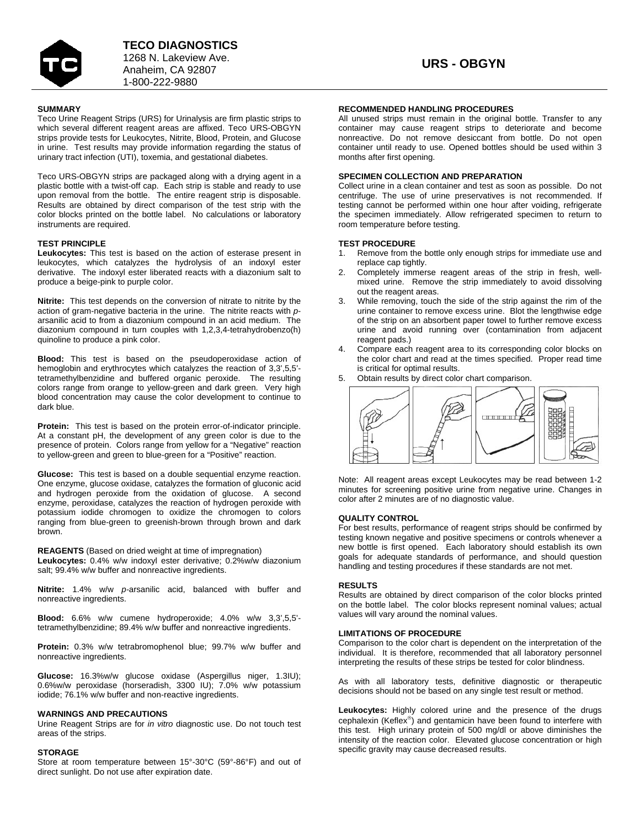

#### **SUMMARY**

Teco Urine Reagent Strips (URS) for Urinalysis are firm plastic strips to which several different reagent areas are affixed. Teco URS-OBGYN strips provide tests for Leukocytes, Nitrite, Blood, Protein, and Glucose in urine. Test results may provide information regarding the status of urinary tract infection (UTI), toxemia, and gestational diabetes.

Teco URS-OBGYN strips are packaged along with a drying agent in a plastic bottle with a twist-off cap. Each strip is stable and ready to use upon removal from the bottle. The entire reagent strip is disposable. Results are obtained by direct comparison of the test strip with the color blocks printed on the bottle label. No calculations or laboratory instruments are required.

### **TEST PRINCIPLE**

**Leukocytes:** This test is based on the action of esterase present in leukocytes, which catalyzes the hydrolysis of an indoxyl ester derivative. The indoxyl ester liberated reacts with a diazonium salt to produce a beige-pink to purple color.

**Nitrite:** This test depends on the conversion of nitrate to nitrite by the action of gram-negative bacteria in the urine. The nitrite reacts with *p*arsanilic acid to from a diazonium compound in an acid medium. The diazonium compound in turn couples with 1,2,3,4-tetrahydrobenzo(h) quinoline to produce a pink color.

**Blood:** This test is based on the pseudoperoxidase action of hemoglobin and erythrocytes which catalyzes the reaction of 3,3',5,5' tetramethylbenzidine and buffered organic peroxide. The resulting colors range from orange to yellow-green and dark green. Very high blood concentration may cause the color development to continue to dark blue.

**Protein:** This test is based on the protein error-of-indicator principle. At a constant pH, the development of any green color is due to the presence of protein. Colors range from yellow for a "Negative" reaction to yellow-green and green to blue-green for a "Positive" reaction.

**Glucose:** This test is based on a double sequential enzyme reaction. One enzyme, glucose oxidase, catalyzes the formation of gluconic acid and hydrogen peroxide from the oxidation of glucose. A second enzyme, peroxidase, catalyzes the reaction of hydrogen peroxide with potassium iodide chromogen to oxidize the chromogen to colors ranging from blue-green to greenish-brown through brown and dark brown.

#### **REAGENTS** (Based on dried weight at time of impregnation)

**Leukocytes:** 0.4% w/w indoxyl ester derivative; 0.2%w/w diazonium salt; 99.4% w/w buffer and nonreactive ingredients.

**Nitrite:** 1.4% w/w *p-*arsanilic acid, balanced with buffer and nonreactive ingredients.

**Blood:** 6.6% w/w cumene hydroperoxide; 4.0% w/w 3,3',5,5' tetramethylbenzidine; 89.4% w/w buffer and nonreactive ingredients.

**Protein:** 0.3% w/w tetrabromophenol blue; 99.7% w/w buffer and nonreactive ingredients.

**Glucose:** 16.3%w/w glucose oxidase (Aspergillus niger, 1.3IU); 0.6%w/w peroxidase (horseradish, 3300 IU); 7.0% w/w potassium iodide; 76.1% w/w buffer and non-reactive ingredients.

#### **WARNINGS AND PRECAUTIONS**

Urine Reagent Strips are for *in vitro* diagnostic use. Do not touch test areas of the strips.

# **STORAGE**

Store at room temperature between 15°-30°C (59°-86°F) and out of direct sunlight. Do not use after expiration date.

## **RECOMMENDED HANDLING PROCEDURES**

All unused strips must remain in the original bottle. Transfer to any container may cause reagent strips to deteriorate and become nonreactive. Do not remove desiccant from bottle. Do not open container until ready to use. Opened bottles should be used within 3 months after first opening.

### **SPECIMEN COLLECTION AND PREPARATION**

Collect urine in a clean container and test as soon as possible. Do not centrifuge. The use of urine preservatives is not recommended. If testing cannot be performed within one hour after voiding, refrigerate the specimen immediately. Allow refrigerated specimen to return to room temperature before testing.

### **TEST PROCEDURE**

- Remove from the bottle only enough strips for immediate use and replace cap tightly
- 2. Completely immerse reagent areas of the strip in fresh, wellmixed urine. Remove the strip immediately to avoid dissolving out the reagent areas.
- 3. While removing, touch the side of the strip against the rim of the urine container to remove excess urine. Blot the lengthwise edge of the strip on an absorbent paper towel to further remove excess urine and avoid running over (contamination from adjacent reagent pads.)
- 4. Compare each reagent area to its corresponding color blocks on the color chart and read at the times specified. Proper read time is critical for optimal results.
- 5. Obtain results by direct color chart comparison.



Note: All reagent areas except Leukocytes may be read between 1-2 minutes for screening positive urine from negative urine. Changes in color after 2 minutes are of no diagnostic value.

#### **QUALITY CONTROL**

For best results, performance of reagent strips should be confirmed by testing known negative and positive specimens or controls whenever a new bottle is first opened. Each laboratory should establish its own goals for adequate standards of performance, and should question handling and testing procedures if these standards are not met.

#### **RESULTS**

Results are obtained by direct comparison of the color blocks printed on the bottle label. The color blocks represent nominal values; actual values will vary around the nominal values.

#### **LIMITATIONS OF PROCEDURE**

Comparison to the color chart is dependent on the interpretation of the individual. It is therefore, recommended that all laboratory personnel interpreting the results of these strips be tested for color blindness.

As with all laboratory tests, definitive diagnostic or therapeutic decisions should not be based on any single test result or method.

**Leukocytes:** Highly colored urine and the presence of the drugs cephalexin (Keflex®) and gentamicin have been found to interfere with this test. High urinary protein of 500 mg/dl or above diminishes the intensity of the reaction color. Elevated glucose concentration or high specific gravity may cause decreased results.